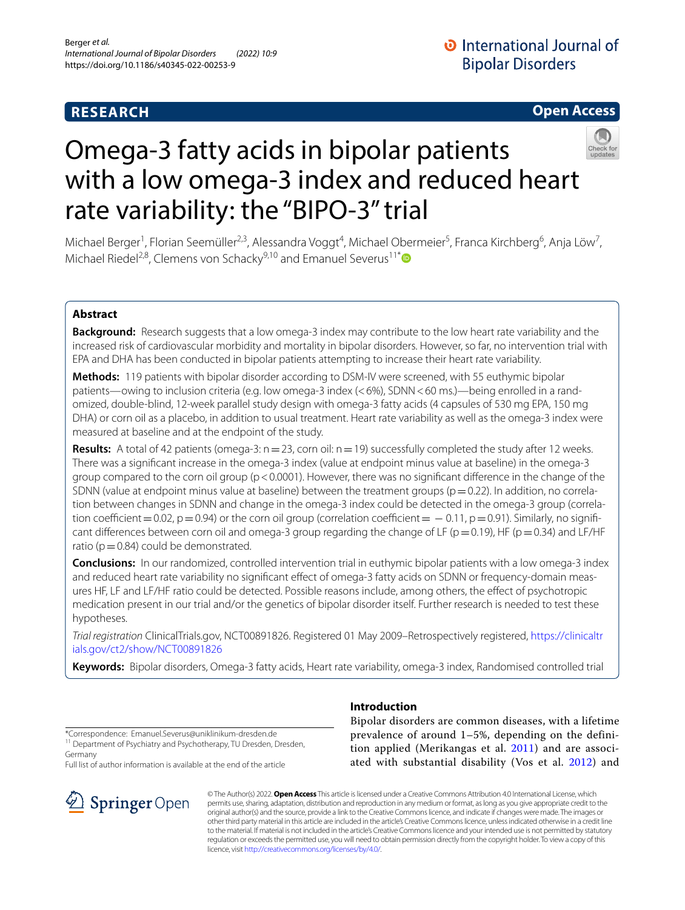# **RESEARCH**

# **Open Access**



# Omega-3 fatty acids in bipolar patients with a low omega-3 index and reduced heart rate variability: the "BIPO-3" trial

Michael Berger<sup>1</sup>, Florian Seemüller<sup>2,3</sup>, Alessandra Voggt<sup>4</sup>, Michael Obermeier<sup>5</sup>, Franca Kirchberg<sup>6</sup>, Anja Löw<sup>7</sup>, Michael Riedel<sup>2,8</sup>, Clemens von Schacky<sup>9,10</sup> and Emanuel Severus<sup>11[\\*](http://orcid.org/0000-0002-9135-1679)</sup><sup>D</sup>

## **Abstract**

**Background:** Research suggests that a low omega-3 index may contribute to the low heart rate variability and the increased risk of cardiovascular morbidity and mortality in bipolar disorders. However, so far, no intervention trial with EPA and DHA has been conducted in bipolar patients attempting to increase their heart rate variability.

**Methods:** 119 patients with bipolar disorder according to DSM-IV were screened, with 55 euthymic bipolar patients—owing to inclusion criteria (e.g. low omega-3 index (<6%), SDNN<60 ms.)—being enrolled in a randomized, double-blind, 12-week parallel study design with omega-3 fatty acids (4 capsules of 530 mg EPA, 150 mg DHA) or corn oil as a placebo, in addition to usual treatment. Heart rate variability as well as the omega-3 index were measured at baseline and at the endpoint of the study.

**Results:** A total of 42 patients (omega-3: n = 23, corn oil: n = 19) successfully completed the study after 12 weeks. There was a signifcant increase in the omega-3 index (value at endpoint minus value at baseline) in the omega-3 group compared to the corn oil group (p < 0.0001). However, there was no significant difference in the change of the SDNN (value at endpoint minus value at baseline) between the treatment groups ( $p=0.22$ ). In addition, no correlation between changes in SDNN and change in the omega-3 index could be detected in the omega-3 group (correlation coefficient = 0.02, p=0.94) or the corn oil group (correlation coefficient =  $-$  0.11, p=0.91). Similarly, no significant differences between corn oil and omega-3 group regarding the change of LF ( $p=0.19$ ), HF ( $p=0.34$ ) and LF/HF ratio ( $p=0.84$ ) could be demonstrated.

**Conclusions:** In our randomized, controlled intervention trial in euthymic bipolar patients with a low omega-3 index and reduced heart rate variability no signifcant efect of omega-3 fatty acids on SDNN or frequency-domain measures HF, LF and LF/HF ratio could be detected. Possible reasons include, among others, the efect of psychotropic medication present in our trial and/or the genetics of bipolar disorder itself. Further research is needed to test these hypotheses.

*Trial registration* ClinicalTrials.gov, NCT00891826. Registered 01 May 2009–Retrospectively registered, [https://clinicaltr](https://clinicaltrials.gov/ct2/show/NCT00891826) [ials.gov/ct2/show/NCT00891826](https://clinicaltrials.gov/ct2/show/NCT00891826)

**Keywords:** Bipolar disorders, Omega-3 fatty acids, Heart rate variability, omega-3 index, Randomised controlled trial

\*Correspondence: Emanuel.Severus@uniklinikum-dresden.de <sup>11</sup> Department of Psychiatry and Psychotherapy, TU Dresden, Dresden, Germany

Full list of author information is available at the end of the article



# **Introduction**

Bipolar disorders are common diseases, with a lifetime prevalence of around 1–5%, depending on the definition applied (Merikangas et al. [2011\)](#page-10-0) and are associated with substantial disability (Vos et al. [2012](#page-10-1)) and

© The Author(s) 2022. **Open Access** This article is licensed under a Creative Commons Attribution 4.0 International License, which permits use, sharing, adaptation, distribution and reproduction in any medium or format, as long as you give appropriate credit to the original author(s) and the source, provide a link to the Creative Commons licence, and indicate if changes were made. The images or other third party material in this article are included in the article's Creative Commons licence, unless indicated otherwise in a credit line to the material. If material is not included in the article's Creative Commons licence and your intended use is not permitted by statutory regulation or exceeds the permitted use, you will need to obtain permission directly from the copyright holder. To view a copy of this licence, visit [http://creativecommons.org/licenses/by/4.0/.](http://creativecommons.org/licenses/by/4.0/)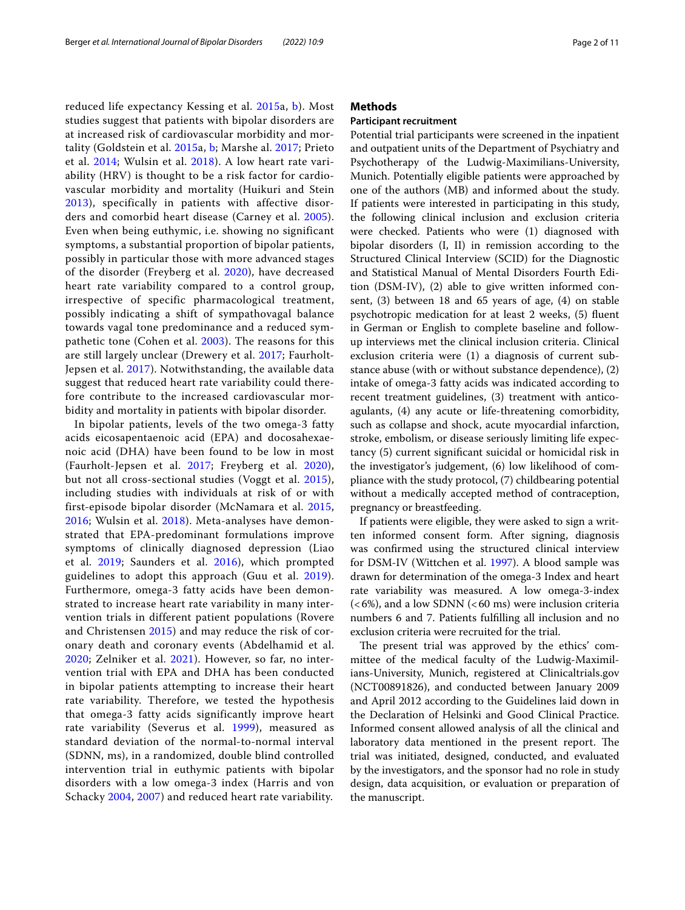reduced life expectancy Kessing et al. [2015a](#page-9-0), [b](#page-9-1)). Most studies suggest that patients with bipolar disorders are at increased risk of cardiovascular morbidity and mortality (Goldstein et al. [2015](#page-9-2)a, [b](#page-9-3); Marshe al. [2017;](#page-9-4) Prieto et al. [2014;](#page-10-2) Wulsin et al. [2018\)](#page-10-3). A low heart rate variability (HRV) is thought to be a risk factor for cardiovascular morbidity and mortality (Huikuri and Stein [2013](#page-9-5)), specifically in patients with affective disorders and comorbid heart disease (Carney et al. [2005\)](#page-9-6). Even when being euthymic, i.e. showing no significant symptoms, a substantial proportion of bipolar patients, possibly in particular those with more advanced stages of the disorder (Freyberg et al. [2020\)](#page-9-7), have decreased heart rate variability compared to a control group, irrespective of specific pharmacological treatment, possibly indicating a shift of sympathovagal balance towards vagal tone predominance and a reduced sympathetic tone (Cohen et al. [2003](#page-9-8)). The reasons for this are still largely unclear (Drewery et al. [2017;](#page-9-9) Faurholt-Jepsen et al. [2017\)](#page-9-10). Notwithstanding, the available data suggest that reduced heart rate variability could therefore contribute to the increased cardiovascular morbidity and mortality in patients with bipolar disorder.

In bipolar patients, levels of the two omega-3 fatty acids eicosapentaenoic acid (EPA) and docosahexaenoic acid (DHA) have been found to be low in most (Faurholt-Jepsen et al. [2017;](#page-9-10) Freyberg et al. [2020\)](#page-9-7), but not all cross-sectional studies (Voggt et al. [2015\)](#page-10-4), including studies with individuals at risk of or with first-episode bipolar disorder (McNamara et al. [2015](#page-10-5), [2016](#page-10-6); Wulsin et al. [2018](#page-10-3)). Meta-analyses have demonstrated that EPA-predominant formulations improve symptoms of clinically diagnosed depression (Liao et al. [2019;](#page-9-11) Saunders et al. [2016\)](#page-10-7), which prompted guidelines to adopt this approach (Guu et al. [2019\)](#page-9-12). Furthermore, omega-3 fatty acids have been demonstrated to increase heart rate variability in many intervention trials in different patient populations (Rovere and Christensen [2015](#page-9-13)) and may reduce the risk of coronary death and coronary events (Abdelhamid et al. [2020](#page-9-14); Zelniker et al. [2021\)](#page-10-8). However, so far, no intervention trial with EPA and DHA has been conducted in bipolar patients attempting to increase their heart rate variability. Therefore, we tested the hypothesis that omega-3 fatty acids significantly improve heart rate variability (Severus et al. [1999](#page-10-9)), measured as standard deviation of the normal-to-normal interval (SDNN, ms), in a randomized, double blind controlled intervention trial in euthymic patients with bipolar disorders with a low omega-3 index (Harris and von Schacky [2004](#page-9-15), [2007\)](#page-10-10) and reduced heart rate variability.

## **Methods**

## **Participant recruitment**

Potential trial participants were screened in the inpatient and outpatient units of the Department of Psychiatry and Psychotherapy of the Ludwig-Maximilians-University, Munich. Potentially eligible patients were approached by one of the authors (MB) and informed about the study. If patients were interested in participating in this study, the following clinical inclusion and exclusion criteria were checked. Patients who were (1) diagnosed with bipolar disorders (I, II) in remission according to the Structured Clinical Interview (SCID) for the Diagnostic and Statistical Manual of Mental Disorders Fourth Edition (DSM-IV), (2) able to give written informed consent, (3) between 18 and 65 years of age, (4) on stable psychotropic medication for at least 2 weeks, (5) fuent in German or English to complete baseline and followup interviews met the clinical inclusion criteria. Clinical exclusion criteria were (1) a diagnosis of current substance abuse (with or without substance dependence), (2) intake of omega-3 fatty acids was indicated according to recent treatment guidelines, (3) treatment with anticoagulants, (4) any acute or life-threatening comorbidity, such as collapse and shock, acute myocardial infarction, stroke, embolism, or disease seriously limiting life expectancy (5) current signifcant suicidal or homicidal risk in the investigator's judgement, (6) low likelihood of compliance with the study protocol, (7) childbearing potential without a medically accepted method of contraception, pregnancy or breastfeeding.

If patients were eligible, they were asked to sign a written informed consent form. After signing, diagnosis was confrmed using the structured clinical interview for DSM-IV (Wittchen et al. [1997\)](#page-10-11). A blood sample was drawn for determination of the omega-3 Index and heart rate variability was measured. A low omega-3-index  $(<6\%)$ , and a low SDNN  $(<60 \text{ ms})$  were inclusion criteria numbers 6 and 7. Patients fulflling all inclusion and no exclusion criteria were recruited for the trial.

The present trial was approved by the ethics' committee of the medical faculty of the Ludwig-Maximilians-University, Munich, registered at Clinicaltrials.gov (NCT00891826), and conducted between January 2009 and April 2012 according to the Guidelines laid down in the Declaration of Helsinki and Good Clinical Practice. Informed consent allowed analysis of all the clinical and laboratory data mentioned in the present report. The trial was initiated, designed, conducted, and evaluated by the investigators, and the sponsor had no role in study design, data acquisition, or evaluation or preparation of the manuscript.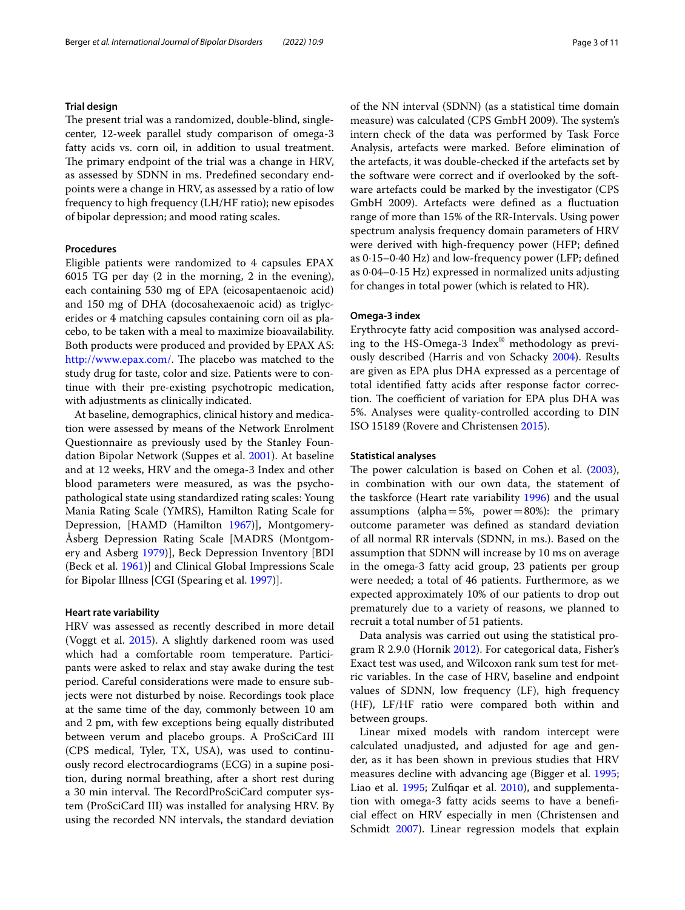#### **Trial design**

The present trial was a randomized, double-blind, singlecenter, 12-week parallel study comparison of omega-3 fatty acids vs. corn oil, in addition to usual treatment. The primary endpoint of the trial was a change in HRV, as assessed by SDNN in ms. Predefned secondary endpoints were a change in HRV, as assessed by a ratio of low frequency to high frequency (LH/HF ratio); new episodes of bipolar depression; and mood rating scales.

#### **Procedures**

Eligible patients were randomized to 4 capsules EPAX 6015 TG per day (2 in the morning, 2 in the evening), each containing 530 mg of EPA (eicosapentaenoic acid) and 150 mg of DHA (docosahexaenoic acid) as triglycerides or 4 matching capsules containing corn oil as placebo, to be taken with a meal to maximize bioavailability. Both products were produced and provided by EPAX AS: [http://www.epax.com/.](http://www.epax.com/) The placebo was matched to the study drug for taste, color and size. Patients were to continue with their pre-existing psychotropic medication, with adjustments as clinically indicated.

At baseline, demographics, clinical history and medication were assessed by means of the Network Enrolment Questionnaire as previously used by the Stanley Foundation Bipolar Network (Suppes et al. [2001](#page-10-12)). At baseline and at 12 weeks, HRV and the omega-3 Index and other blood parameters were measured, as was the psychopathological state using standardized rating scales: Young Mania Rating Scale (YMRS), Hamilton Rating Scale for Depression, [HAMD (Hamilton [1967\)](#page-9-16)], Montgomery-Åsberg Depression Rating Scale [MADRS (Montgomery and Asberg [1979](#page-10-13))], Beck Depression Inventory [BDI (Beck et al. [1961](#page-9-17))] and Clinical Global Impressions Scale for Bipolar Illness [CGI (Spearing et al. [1997\)](#page-10-14)].

## **Heart rate variability**

HRV was assessed as recently described in more detail (Voggt et al. [2015\)](#page-10-4). A slightly darkened room was used which had a comfortable room temperature. Participants were asked to relax and stay awake during the test period. Careful considerations were made to ensure subjects were not disturbed by noise. Recordings took place at the same time of the day, commonly between 10 am and 2 pm, with few exceptions being equally distributed between verum and placebo groups. A ProSciCard III (CPS medical, Tyler, TX, USA), was used to continuously record electrocardiograms (ECG) in a supine position, during normal breathing, after a short rest during a 30 min interval. The RecordProSciCard computer system (ProSciCard III) was installed for analysing HRV. By using the recorded NN intervals, the standard deviation of the NN interval (SDNN) (as a statistical time domain measure) was calculated (CPS GmbH 2009). The system's intern check of the data was performed by Task Force Analysis, artefacts were marked. Before elimination of the artefacts, it was double-checked if the artefacts set by the software were correct and if overlooked by the software artefacts could be marked by the investigator (CPS GmbH 2009). Artefacts were defned as a fuctuation range of more than 15% of the RR-Intervals. Using power spectrum analysis frequency domain parameters of HRV were derived with high-frequency power (HFP; defned as 0·15–0·40 Hz) and low-frequency power (LFP; defned as 0·04–0·15 Hz) expressed in normalized units adjusting for changes in total power (which is related to HR).

#### **Omega‑3 index**

Erythrocyte fatty acid composition was analysed according to the HS-Omega-3 Index® methodology as previously described (Harris and von Schacky [2004](#page-9-15)). Results are given as EPA plus DHA expressed as a percentage of total identifed fatty acids after response factor correction. The coefficient of variation for EPA plus DHA was 5%. Analyses were quality-controlled according to DIN ISO 15189 (Rovere and Christensen [2015\)](#page-9-13).

#### **Statistical analyses**

The power calculation is based on Cohen et al. [\(2003](#page-9-8)), in combination with our own data, the statement of the taskforce (Heart rate variability [1996](#page-9-18)) and the usual assumptions (alpha=5%, power=80%): the primary outcome parameter was defned as standard deviation of all normal RR intervals (SDNN, in ms.). Based on the assumption that SDNN will increase by 10 ms on average in the omega-3 fatty acid group, 23 patients per group were needed; a total of 46 patients. Furthermore, as we expected approximately 10% of our patients to drop out prematurely due to a variety of reasons, we planned to recruit a total number of 51 patients.

Data analysis was carried out using the statistical program R 2.9.0 (Hornik [2012](#page-9-19)). For categorical data, Fisher's Exact test was used, and Wilcoxon rank sum test for metric variables. In the case of HRV, baseline and endpoint values of SDNN, low frequency (LF), high frequency (HF), LF/HF ratio were compared both within and between groups.

Linear mixed models with random intercept were calculated unadjusted, and adjusted for age and gender, as it has been shown in previous studies that HRV measures decline with advancing age (Bigger et al. [1995](#page-9-20); Liao et al. [1995;](#page-9-21) Zulfiqar et al. [2010](#page-10-15)), and supplementation with omega-3 fatty acids seems to have a benefcial efect on HRV especially in men (Christensen and Schmidt [2007\)](#page-9-22). Linear regression models that explain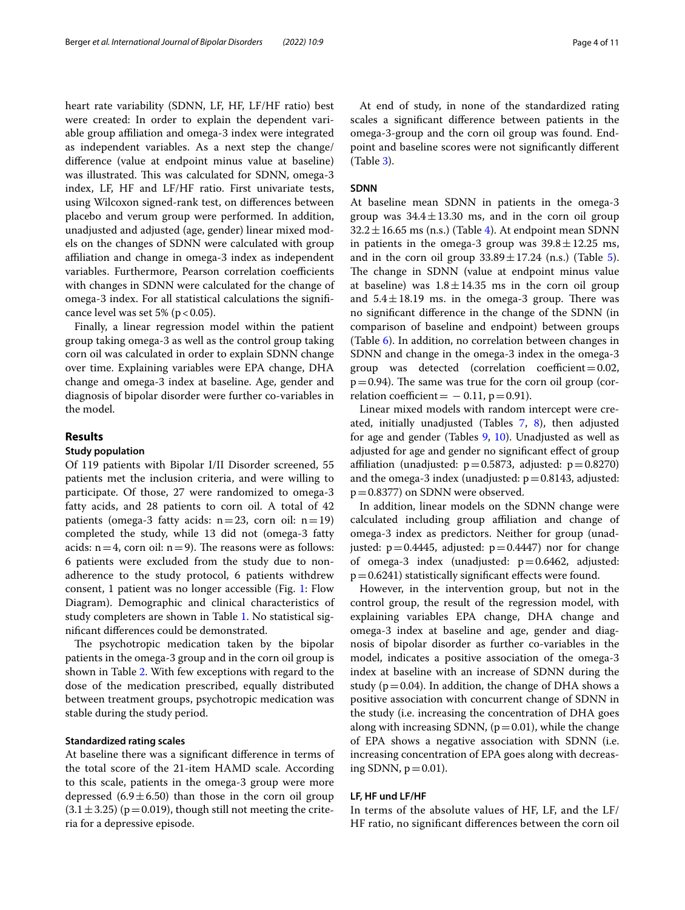heart rate variability (SDNN, LF, HF, LF/HF ratio) best were created: In order to explain the dependent variable group afliation and omega-3 index were integrated as independent variables. As a next step the change/ diference (value at endpoint minus value at baseline) was illustrated. This was calculated for SDNN, omega-3 index, LF, HF and LF/HF ratio. First univariate tests, using Wilcoxon signed-rank test, on diferences between placebo and verum group were performed. In addition, unadjusted and adjusted (age, gender) linear mixed models on the changes of SDNN were calculated with group afliation and change in omega-3 index as independent variables. Furthermore, Pearson correlation coefficients with changes in SDNN were calculated for the change of omega-3 index. For all statistical calculations the signifcance level was set 5% ( $p < 0.05$ ).

Finally, a linear regression model within the patient group taking omega-3 as well as the control group taking corn oil was calculated in order to explain SDNN change over time. Explaining variables were EPA change, DHA change and omega-3 index at baseline. Age, gender and diagnosis of bipolar disorder were further co-variables in the model.

## **Results**

#### **Study population**

Of 119 patients with Bipolar I/II Disorder screened, 55 patients met the inclusion criteria, and were willing to participate. Of those, 27 were randomized to omega-3 fatty acids, and 28 patients to corn oil. A total of 42 patients (omega-3 fatty acids:  $n=23$ , corn oil:  $n=19$ ) completed the study, while 13 did not (omega-3 fatty acids:  $n=4$ , corn oil:  $n=9$ ). The reasons were as follows: 6 patients were excluded from the study due to nonadherence to the study protocol, 6 patients withdrew consent, 1 patient was no longer accessible (Fig. [1](#page-4-0): Flow Diagram). Demographic and clinical characteristics of study completers are shown in Table [1](#page-5-0). No statistical signifcant diferences could be demonstrated.

The psychotropic medication taken by the bipolar patients in the omega-3 group and in the corn oil group is shown in Table [2](#page-5-1). With few exceptions with regard to the dose of the medication prescribed, equally distributed between treatment groups, psychotropic medication was stable during the study period.

#### **Standardized rating scales**

At baseline there was a signifcant diference in terms of the total score of the 21-item HAMD scale. According to this scale, patients in the omega-3 group were more depressed  $(6.9 \pm 6.50)$  than those in the corn oil group  $(3.1 \pm 3.25)$  (p=0.019), though still not meeting the criteria for a depressive episode.

At end of study, in none of the standardized rating scales a signifcant diference between patients in the omega-3-group and the corn oil group was found. Endpoint and baseline scores were not signifcantly diferent (Table [3\)](#page-5-2).

#### **SDNN**

At baseline mean SDNN in patients in the omega-3 group was  $34.4 \pm 13.30$  ms, and in the corn oil group  $32.2 \pm 16.65$  ms (n.s.) (Table [4](#page-5-3)). At endpoint mean SDNN in patients in the omega-3 group was  $39.8 \pm 12.25$  ms, and in the corn oil group  $33.89 \pm 17.24$  (n.s.) (Table [5](#page-6-0)). The change in SDNN (value at endpoint minus value at baseline) was  $1.8 \pm 14.35$  ms in the corn oil group and  $5.4 \pm 18.19$  ms. in the omega-3 group. There was no signifcant diference in the change of the SDNN (in comparison of baseline and endpoint) between groups (Table [6\)](#page-6-1). In addition, no correlation between changes in SDNN and change in the omega-3 index in the omega-3 group was detected (correlation coefficient= $0.02$ ,  $p=0.94$ ). The same was true for the corn oil group (correlation coefficient =  $-0.11$ , p = 0.91).

Linear mixed models with random intercept were created, initially unadjusted (Tables [7,](#page-6-2) [8](#page-6-3)), then adjusted for age and gender (Tables [9](#page-6-4), [10\)](#page-6-5). Unadjusted as well as adjusted for age and gender no signifcant efect of group affiliation (unadjusted:  $p=0.5873$ , adjusted:  $p=0.8270$ ) and the omega-3 index (unadjusted:  $p = 0.8143$ , adjusted: p=0.8377) on SDNN were observed.

In addition, linear models on the SDNN change were calculated including group afliation and change of omega-3 index as predictors. Neither for group (unadjusted:  $p = 0.4445$ , adjusted:  $p = 0.4447$ ) nor for change of omega-3 index (unadjusted:  $p=0.6462$ , adjusted:  $p=0.6241$ ) statistically significant effects were found.

However, in the intervention group, but not in the control group, the result of the regression model, with explaining variables EPA change, DHA change and omega-3 index at baseline and age, gender and diagnosis of bipolar disorder as further co-variables in the model, indicates a positive association of the omega-3 index at baseline with an increase of SDNN during the study ( $p=0.04$ ). In addition, the change of DHA shows a positive association with concurrent change of SDNN in the study (i.e. increasing the concentration of DHA goes along with increasing SDNN,  $(p=0.01)$ , while the change of EPA shows a negative association with SDNN (i.e. increasing concentration of EPA goes along with decreasing SDNN,  $p=0.01$ ).

## **LF, HF und LF/HF**

In terms of the absolute values of HF, LF, and the LF/ HF ratio, no signifcant diferences between the corn oil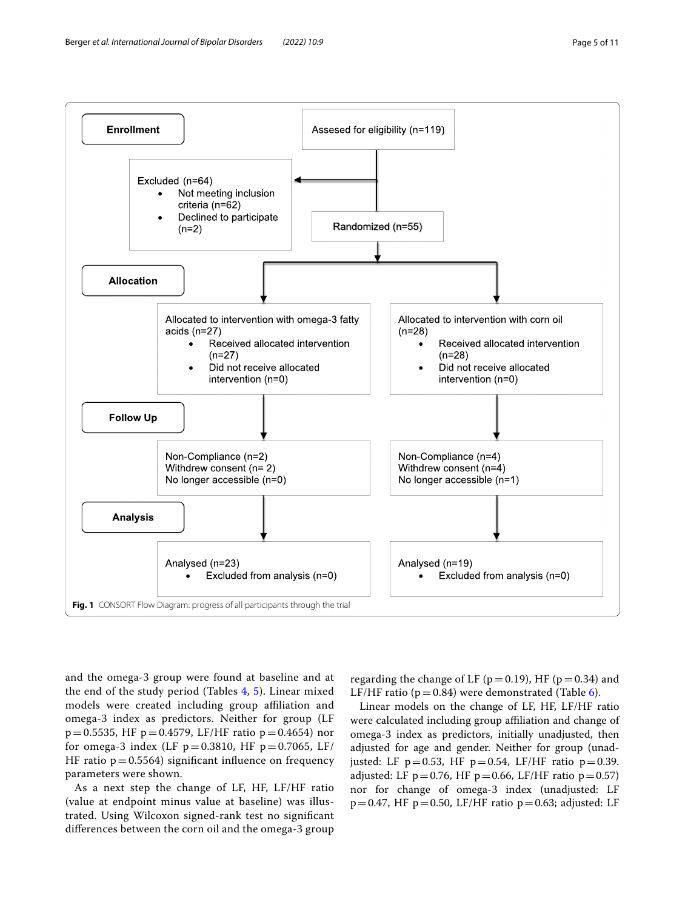

<span id="page-4-0"></span>and the omega-3 group were found at baseline and at the end of the study period (Tables [4,](#page-5-3) [5](#page-6-0)). Linear mixed models were created including group affiliation and omega-3 index as predictors. Neither for group (LF  $p=0.5535$ , HF  $p=0.4579$ , LF/HF ratio  $p=0.4654$ ) nor for omega-3 index (LF  $p = 0.3810$ , HF  $p = 0.7065$ , LF/ HF ratio  $p = 0.5564$ ) significant influence on frequency parameters were shown.

As a next step the change of LF, HF, LF/HF ratio (value at endpoint minus value at baseline) was illustrated. Using Wilcoxon signed-rank test no signifcant diferences between the corn oil and the omega-3 group regarding the change of LF ( $p=0.19$ ), HF ( $p=0.34$ ) and LF/HF ratio ( $p=0.84$ ) were demonstrated (Table [6](#page-6-1)).

Linear models on the change of LF, HF, LF/HF ratio were calculated including group affiliation and change of omega-3 index as predictors, initially unadjusted, then adjusted for age and gender. Neither for group (unadjusted: LF  $p=0.53$ , HF  $p=0.54$ , LF/HF ratio  $p=0.39$ . adjusted: LF  $p=0.76$ , HF  $p=0.66$ , LF/HF ratio  $p=0.57$ ) nor for change of omega-3 index (unadjusted: LF  $p=0.47$ , HF  $p=0.50$ , LF/HF ratio  $p=0.63$ ; adjusted: LF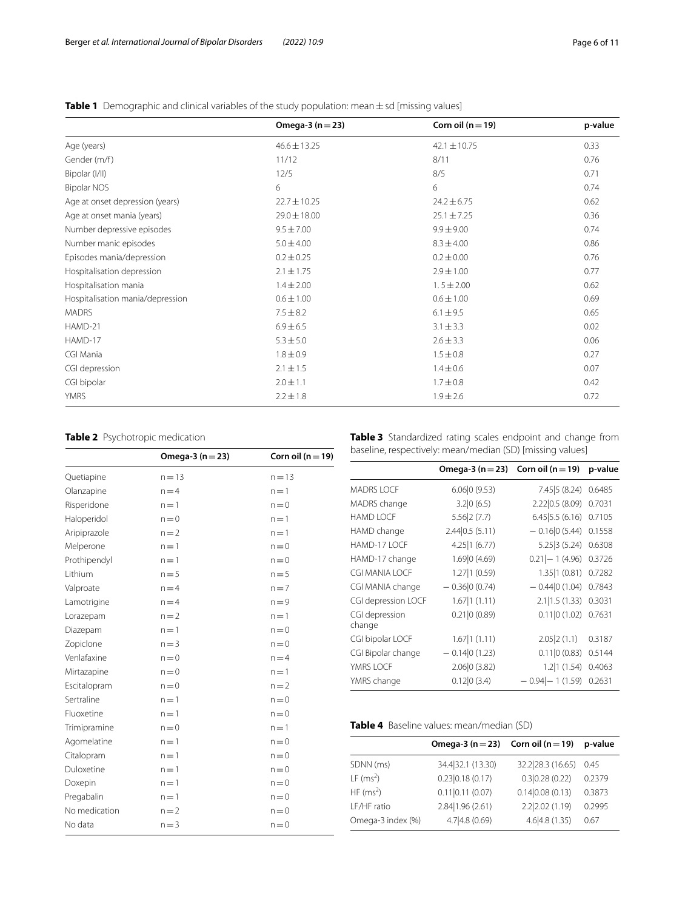## <span id="page-5-0"></span>**Table 1** Demographic and clinical variables of the study population: mean ± sd [missing values]

|                                  | Omega-3 $(n=23)$ | Corn oil ( $n = 19$ ) | p-value |
|----------------------------------|------------------|-----------------------|---------|
| Age (years)                      | $46.6 \pm 13.25$ | $42.1 \pm 10.75$      | 0.33    |
| Gender (m/f)                     | 11/12            | 8/11                  | 0.76    |
| Bipolar (I/II)                   | 12/5             | 8/5                   | 0.71    |
| <b>Bipolar NOS</b>               | 6                | 6                     | 0.74    |
| Age at onset depression (years)  | $22.7 \pm 10.25$ | $24.2 \pm 6.75$       | 0.62    |
| Age at onset mania (years)       | $29.0 \pm 18.00$ | $25.1 \pm 7.25$       | 0.36    |
| Number depressive episodes       | $9.5 \pm 7.00$   | $9.9 \pm 9.00$        | 0.74    |
| Number manic episodes            | $5.0 \pm 4.00$   | $8.3 \pm 4.00$        | 0.86    |
| Episodes mania/depression        | $0.2 \pm 0.25$   | $0.2 \pm 0.00$        | 0.76    |
| Hospitalisation depression       | $2.1 \pm 1.75$   | $2.9 \pm 1.00$        | 0.77    |
| Hospitalisation mania            | $1.4 \pm 2.00$   | $1.5 \pm 2.00$        | 0.62    |
| Hospitalisation mania/depression | $0.6 \pm 1.00$   | $0.6 \pm 1.00$        | 0.69    |
| <b>MADRS</b>                     | $7.5 \pm 8.2$    | $6.1 \pm 9.5$         | 0.65    |
| HAMD-21                          | $6.9 \pm 6.5$    | $3.1 \pm 3.3$         | 0.02    |
| HAMD-17                          | $5.3 \pm 5.0$    | $2.6 \pm 3.3$         | 0.06    |
| CGI Mania                        | $1.8 \pm 0.9$    | $1.5 \pm 0.8$         | 0.27    |
| CGI depression                   | $2.1 \pm 1.5$    | $1.4 \pm 0.6$         | 0.07    |
| CGI bipolar                      | $2.0 \pm 1.1$    | $1.7 \pm 0.8$         | 0.42    |
| <b>YMRS</b>                      | $2.2 \pm 1.8$    | $1.9 \pm 2.6$         | 0.72    |

## <span id="page-5-1"></span>**Table 2** Psychotropic medication

|               | Omega-3 $(n = 23)$ | Corn oil ( $n = 19$ ) |
|---------------|--------------------|-----------------------|
| Quetiapine    | $n = 13$           | $n = 13$              |
| Olanzapine    | $n = 4$            | $n = 1$               |
| Risperidone   | $n = 1$            | $n = 0$               |
| Haloperidol   | $n = 0$            | $n = 1$               |
| Aripiprazole  | $n = 2$            | $n = 1$               |
| Melperone     | $n = 1$            | $n=0$                 |
| Prothipendyl  | $n = 1$            | $n = 0$               |
| Lithium       | $n = 5$            | $n = 5$               |
| Valproate     | $n = 4$            | $n = 7$               |
| Lamotrigine   | $n = 4$            | $n = 9$               |
| Lorazepam     | $n = 2$            | $n = 1$               |
| Diazepam      | $n = 1$            | $n = 0$               |
| Zopiclone     | $n = 3$            | $n = 0$               |
| Venlafaxine   | $n = 0$            | $n = 4$               |
| Mirtazapine   | $n = 0$            | $n=1$                 |
| Escitalopram  | $n = 0$            | $n = 2$               |
| Sertraline    | $n = 1$            | $n = 0$               |
| Fluoxetine    | $n=1$              | $n = 0$               |
| Trimipramine  | $n = 0$            | $n = 1$               |
| Agomelatine   | $n = 1$            | $n = 0$               |
| Citalopram    | $n = 1$            | $n = 0$               |
| Duloxetine    | $n=1$              | $n = 0$               |
| Doxepin       | $n = 1$            | $n = 0$               |
| Pregabalin    | $n = 1$            | $n = 0$               |
| No medication | $n = 2$            | $n = 0$               |
| No data       | $n = 3$            | $n = 0$               |

<span id="page-5-2"></span>**Table 3** Standardized rating scales endpoint and change from baseline, respectively: mean/median (SD) [missing values]

|                          | Omega-3 ( $n = 23$ ) Corn oil ( $n = 19$ ) |                         | p-value |
|--------------------------|--------------------------------------------|-------------------------|---------|
| <b>MADRS LOCF</b>        | 6.06 0(9.53)                               | 7.45 5(8.24)            | 0.6485  |
| MADRS change             | 3.2 0(6.5)                                 | 2.22 0.5 (8.09)         | 0.7031  |
| <b>HAMD LOCF</b>         | 5.56 2(7.7)                                | 6.45 5.5(6.16)          | 0.7105  |
| HAMD change              | 2.44 0.5(5.11)                             | $-0.16 0(5.44)0.1558$   |         |
| HAMD-17 LOCF             | 4.25   1 (6.77)                            | 5.25 3 (5.24) 0.6308    |         |
| HAMD-17 change           | 1.69 0 (4.69)                              | $0.21$ – 1 (4.96)       | 0.3726  |
| CGI MANIA LOCF           | 1.27 1(0.59)                               | 1.35   1 (0.81) 0.7282  |         |
| CGI MANIA change         | $-0.36 0(0.74)$                            | $-0.44 0(1.04)$ 0.7843  |         |
| CGI depression LOCF      | 1.67 1(1.11)                               | 2.1   1.5 (1.33) 0.3031 |         |
| CGI depression<br>change | 0.21 0(0.89)                               | 0.11   0 (1.02) 0.7631  |         |
| CGI bipolar LOCF         | 1.67 1(1.11)                               | 2.05 2(1.1)             | 0.3187  |
| CGI Bipolar change       | $-0.14 0(1.23)$                            | 0.11 0(0.83)            | 0.5144  |
| YMRS LOCF                | 2.06 0(3.82)                               | 1.2 1(1.54)             | 0.4063  |
| YMRS change              | 0.12 0(3.4)                                | $-0.94$ $-1(1.59)$      | 0.2631  |
|                          |                                            |                         |         |

## <span id="page-5-3"></span>**Table 4** Baseline values: mean/median (SD)

|                   | Omega-3 $(n=23)$ Corn oil $(n=19)$ |                   | p-value |
|-------------------|------------------------------------|-------------------|---------|
| SDNN (ms)         | 34.4 32.1 (13.30)                  | 32.2 28.3 (16.65) | 0.45    |
| LF $(ms^2)$       | 0.23 0.18(0.17)                    | 0.3 0.28(0.22)    | 0.2379  |
| HF $(ms^2)$       | 0.11 0.11(0.07)                    | 0.14 0.08(0.13)   | 0.3873  |
| LF/HF ratio       | 2.84   1.96 (2.61)                 | 2.2 2.02 (1.19)   | 0.2995  |
| Omega-3 index (%) | 4.7 4.8 (0.69)                     | 4.6 4.8(1.35)     | 0.67    |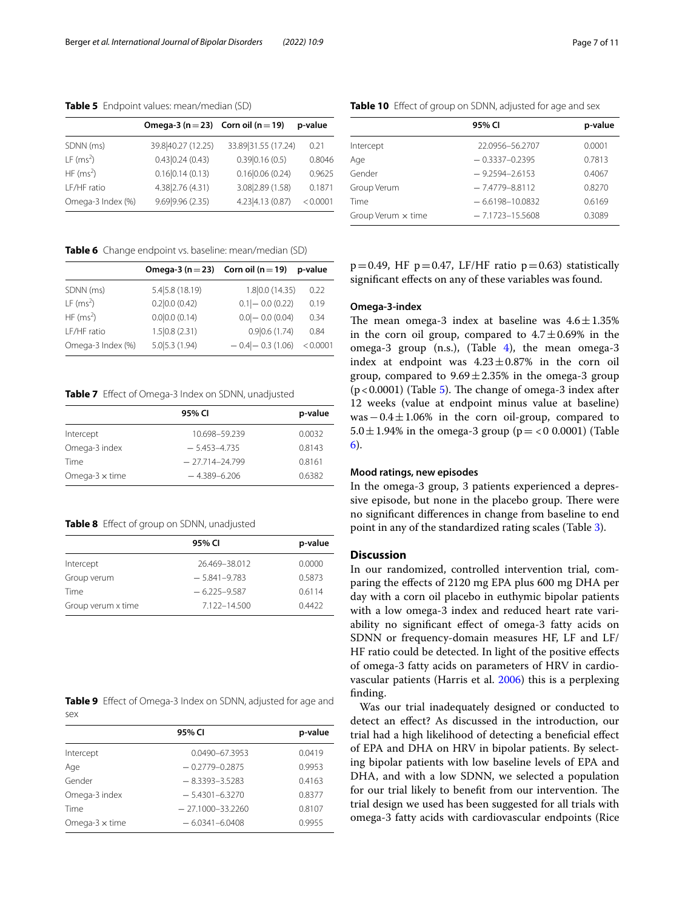<span id="page-6-0"></span>**Table 5** Endpoint values: mean/median (SD)

|                         | Omega-3 ( $n = 23$ ) Corn oil ( $n = 19$ ) |                     | p-value  |
|-------------------------|--------------------------------------------|---------------------|----------|
| SDNN (ms)               | 39.8 40.27 (12.25)                         | 33.89 31.55 (17.24) | 0.21     |
| $LF$ (ms <sup>2</sup> ) | 0.43 0.24(0.43)                            | 0.39 0.16(0.5)      | 0.8046   |
| HF $(ms^2)$             | 0.16 0.14(0.13)                            | 0.16 0.06(0.24)     | 0.9625   |
| LF/HF ratio             | 4.38 2.76 (4.31)                           | 3.08 2.89 (1.58)    | 0.1871   |
| Omega-3 Index (%)       | 9.69 9.96 (2.35)                           | 4.23   4.13 (0.87)  | < 0.0001 |

<span id="page-6-1"></span>**Table 6** Change endpoint vs. baseline: mean/median (SD)

|                       | Omega-3 ( $n = 23$ ) Corn oil ( $n = 19$ ) |                      | p-value  |
|-----------------------|--------------------------------------------|----------------------|----------|
| SDNN (ms)             | 5.4 5.8 (18.19)                            | 1.8 0.0 (14.35)      | 0.22     |
| LF (ms <sup>2</sup> ) | 0.2 0.0(0.42)                              | $0.1$ $-$ 0.0 (0.22) | 0.19     |
| HF $(ms^2)$           | 0.0 0.0(0.14)                              | $0.0$ $-$ 0.0 (0.04) | 0.34     |
| LF/HF ratio           | 1.5 0.8(2.31)                              | 0.9 0.6(1.74)        | 0.84     |
| Omega-3 Index (%)     | 5.0 5.3(1.94)                              | $-0.4$ $-0.3$ (1.06) | < 0.0001 |

<span id="page-6-2"></span>**Table 7** Effect of Omega-3 Index on SDNN, unadjusted

|                        | 95% CI             | p-value |
|------------------------|--------------------|---------|
| Intercept              | 10.698-59.239      | 0.0032  |
| Omega-3 index          | $-5.453 - 4.735$   | 0.8143  |
| Time                   | $-27.714 - 24.799$ | 0.8161  |
| Omega- $3 \times$ time | $-4.389 - 6.206$   | 0.6382  |

<span id="page-6-3"></span>**Table 8** Efect of group on SDNN, unadjusted

|                    | 95% CI           | p-value |
|--------------------|------------------|---------|
| Intercept          | 26.469-38.012    | 0.0000  |
| Group verum        | $-5.841 - 9.783$ | 0.5873  |
| Time               | $-6.225 - 9.587$ | 0.6114  |
| Group verum x time | 7.122-14.500     | 0.4422  |

<span id="page-6-4"></span>**Table 9** Effect of Omega-3 Index on SDNN, adjusted for age and sex

|                        | 95% CI               | p-value |
|------------------------|----------------------|---------|
| Intercept              | $0.0490 - 67.3953$   | 0.0419  |
| Age                    | $-0.2779 - 0.2875$   | 0.9953  |
| Gender                 | $-8.3393 - 3.5283$   | 0.4163  |
| Omega-3 index          | $-5.4301 - 6.3270$   | 0.8377  |
| Time                   | $-27.1000 - 33.2260$ | 0.8107  |
| Omega- $3 \times$ time | $-6.0341 - 6.0408$   | 0.9955  |

<span id="page-6-5"></span>

|                           | 95% CI              | p-value |
|---------------------------|---------------------|---------|
| Intercept                 | 22.0956-56.2707     | 0.0001  |
| Age                       | $-0.3337-0.2395$    | 0.7813  |
| Gender                    | $-9.2594 - 2.6153$  | 0.4067  |
| Group Verum               | $-7.4779 - 8.8112$  | 0.8270  |
| Time                      | $-6.6198 - 10.0832$ | 0.6169  |
| Group Verum $\times$ time | $-7.1723 - 15.5608$ | 0.3089  |

 $p=0.49$ , HF  $p=0.47$ , LF/HF ratio  $p=0.63$ ) statistically signifcant efects on any of these variables was found.

## **Omega‑3‑index**

The mean omega-3 index at baseline was  $4.6 \pm 1.35\%$ in the corn oil group, compared to  $4.7 \pm 0.69\%$  in the omega-3 group  $(n.s.)$ ,  $(Table 4)$  $(Table 4)$ , the mean omega-3 index at endpoint was  $4.23 \pm 0.87$ % in the corn oil group, compared to  $9.69 \pm 2.35\%$  in the omega-3 group ( $p$ <0.0001) (Table [5](#page-6-0)). The change of omega-3 index after 12 weeks (value at endpoint minus value at baseline) was−0.4±1.06% in the corn oil-group, compared to 5.0 $\pm$ 1.94% in the omega-3 group (p = <0 0.0001) (Table [6\)](#page-6-1).

#### **Mood ratings, new episodes**

In the omega-3 group, 3 patients experienced a depressive episode, but none in the placebo group. There were no signifcant diferences in change from baseline to end point in any of the standardized rating scales (Table [3\)](#page-5-2).

## **Discussion**

In our randomized, controlled intervention trial, comparing the efects of 2120 mg EPA plus 600 mg DHA per day with a corn oil placebo in euthymic bipolar patients with a low omega-3 index and reduced heart rate variability no signifcant efect of omega-3 fatty acids on SDNN or frequency-domain measures HF, LF and LF/ HF ratio could be detected. In light of the positive efects of omega-3 fatty acids on parameters of HRV in cardiovascular patients (Harris et al. [2006](#page-9-23)) this is a perplexing fnding.

Was our trial inadequately designed or conducted to detect an efect? As discussed in the introduction, our trial had a high likelihood of detecting a benefcial efect of EPA and DHA on HRV in bipolar patients. By selecting bipolar patients with low baseline levels of EPA and DHA, and with a low SDNN, we selected a population for our trial likely to benefit from our intervention. The trial design we used has been suggested for all trials with omega-3 fatty acids with cardiovascular endpoints (Rice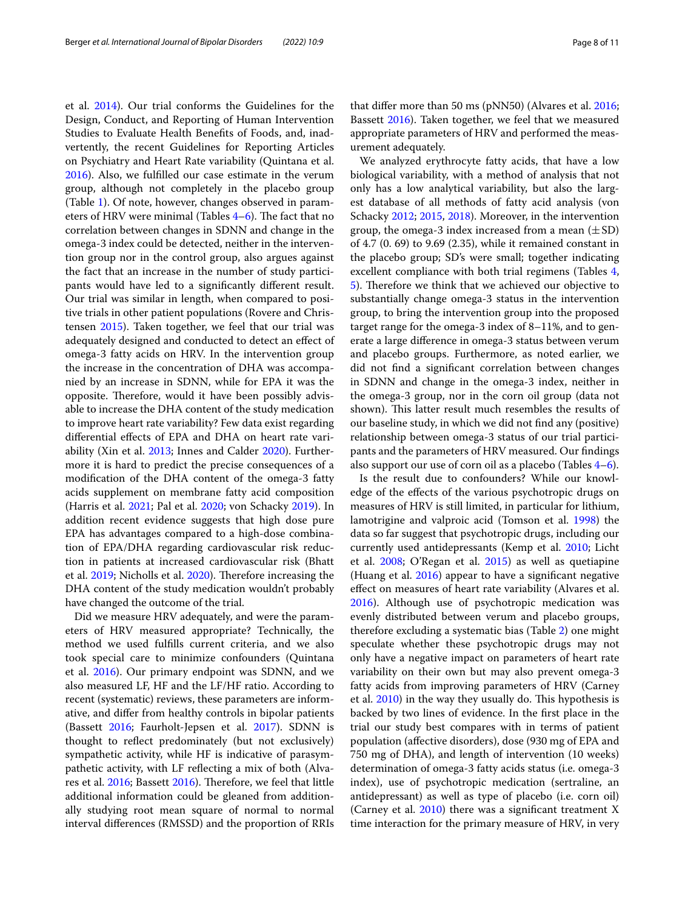et al. [2014\)](#page-10-16). Our trial conforms the Guidelines for the Design, Conduct, and Reporting of Human Intervention Studies to Evaluate Health Benefts of Foods, and, inadvertently, the recent Guidelines for Reporting Articles on Psychiatry and Heart Rate variability (Quintana et al. [2016](#page-10-17)). Also, we fulflled our case estimate in the verum group, although not completely in the placebo group (Table [1](#page-5-0)). Of note, however, changes observed in parameters of HRV were minimal (Tables  $4-6$ ). The fact that no correlation between changes in SDNN and change in the omega-3 index could be detected, neither in the intervention group nor in the control group, also argues against the fact that an increase in the number of study participants would have led to a signifcantly diferent result. Our trial was similar in length, when compared to positive trials in other patient populations (Rovere and Christensen [2015\)](#page-9-13). Taken together, we feel that our trial was adequately designed and conducted to detect an efect of omega-3 fatty acids on HRV. In the intervention group the increase in the concentration of DHA was accompanied by an increase in SDNN, while for EPA it was the opposite. Therefore, would it have been possibly advisable to increase the DHA content of the study medication to improve heart rate variability? Few data exist regarding diferential efects of EPA and DHA on heart rate variability (Xin et al. [2013;](#page-10-18) Innes and Calder [2020\)](#page-9-24). Furthermore it is hard to predict the precise consequences of a modifcation of the DHA content of the omega-3 fatty acids supplement on membrane fatty acid composition (Harris et al. [2021](#page-9-25); Pal et al. [2020](#page-10-19); von Schacky [2019](#page-10-20)). In addition recent evidence suggests that high dose pure EPA has advantages compared to a high-dose combination of EPA/DHA regarding cardiovascular risk reduction in patients at increased cardiovascular risk (Bhatt et al. [2019;](#page-9-26) Nicholls et al. [2020](#page-10-21)). Therefore increasing the DHA content of the study medication wouldn't probably have changed the outcome of the trial.

Did we measure HRV adequately, and were the parameters of HRV measured appropriate? Technically, the method we used fulflls current criteria, and we also took special care to minimize confounders (Quintana et al. [2016\)](#page-10-17). Our primary endpoint was SDNN, and we also measured LF, HF and the LF/HF ratio. According to recent (systematic) reviews, these parameters are informative, and difer from healthy controls in bipolar patients (Bassett [2016](#page-9-27); Faurholt-Jepsen et al. [2017](#page-9-10)). SDNN is thought to refect predominately (but not exclusively) sympathetic activity, while HF is indicative of parasympathetic activity, with LF refecting a mix of both (Alva-res et al. [2016](#page-9-28); Bassett [2016\)](#page-9-27). Therefore, we feel that little additional information could be gleaned from additionally studying root mean square of normal to normal interval diferences (RMSSD) and the proportion of RRIs that difer more than 50 ms (pNN50) (Alvares et al. [2016](#page-9-28); Bassett [2016\)](#page-9-27). Taken together, we feel that we measured appropriate parameters of HRV and performed the measurement adequately.

We analyzed erythrocyte fatty acids, that have a low biological variability, with a method of analysis that not only has a low analytical variability, but also the largest database of all methods of fatty acid analysis (von Schacky [2012](#page-10-22); [2015,](#page-10-23) [2018](#page-10-24)). Moreover, in the intervention group, the omega-3 index increased from a mean  $(\pm SD)$ of 4.7 (0. 69) to 9.69 (2.35), while it remained constant in the placebo group; SD's were small; together indicating excellent compliance with both trial regimens (Tables [4](#page-5-3), [5\)](#page-6-0). Therefore we think that we achieved our objective to substantially change omega-3 status in the intervention group, to bring the intervention group into the proposed target range for the omega-3 index of 8–11%, and to generate a large diference in omega-3 status between verum and placebo groups. Furthermore, as noted earlier, we did not fnd a signifcant correlation between changes in SDNN and change in the omega-3 index, neither in the omega-3 group, nor in the corn oil group (data not shown). This latter result much resembles the results of our baseline study, in which we did not fnd any (positive) relationship between omega-3 status of our trial participants and the parameters of HRV measured. Our fndings also support our use of corn oil as a placebo (Tables [4–](#page-5-3)[6\)](#page-6-1).

Is the result due to confounders? While our knowledge of the efects of the various psychotropic drugs on measures of HRV is still limited, in particular for lithium, lamotrigine and valproic acid (Tomson et al. [1998](#page-10-25)) the data so far suggest that psychotropic drugs, including our currently used antidepressants (Kemp et al. [2010](#page-9-29); Licht et al. [2008](#page-9-30); O'Regan et al. [2015\)](#page-10-26) as well as quetiapine (Huang et al. [2016](#page-9-31)) appear to have a signifcant negative efect on measures of heart rate variability (Alvares et al. [2016](#page-9-28)). Although use of psychotropic medication was evenly distributed between verum and placebo groups, therefore excluding a systematic bias (Table [2\)](#page-5-1) one might speculate whether these psychotropic drugs may not only have a negative impact on parameters of heart rate variability on their own but may also prevent omega-3 fatty acids from improving parameters of HRV (Carney et al.  $2010$ ) in the way they usually do. This hypothesis is backed by two lines of evidence. In the frst place in the trial our study best compares with in terms of patient population (afective disorders), dose (930 mg of EPA and 750 mg of DHA), and length of intervention (10 weeks) determination of omega-3 fatty acids status (i.e. omega-3 index), use of psychotropic medication (sertraline, an antidepressant) as well as type of placebo (i.e. corn oil) (Carney et al. [2010](#page-9-32)) there was a signifcant treatment X time interaction for the primary measure of HRV, in very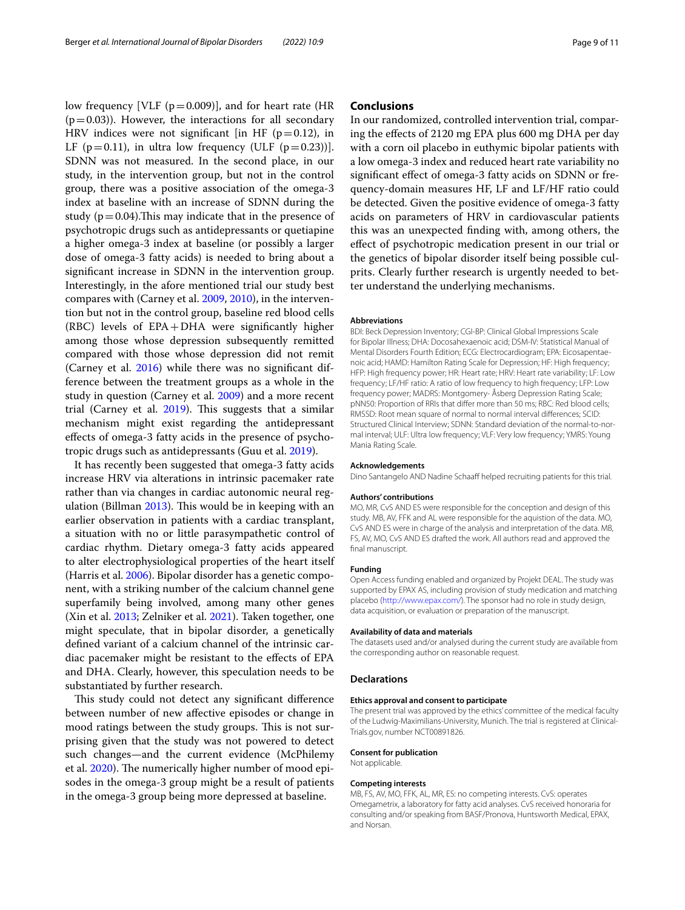low frequency [VLF  $(p=0.009)$ ], and for heart rate (HR  $(p=0.03)$ ). However, the interactions for all secondary HRV indices were not significant [in HF ( $p=0.12$ ), in LF ( $p=0.11$ ), in ultra low frequency (ULF ( $p=0.23$ ))]. SDNN was not measured. In the second place, in our study, in the intervention group, but not in the control group, there was a positive association of the omega-3 index at baseline with an increase of SDNN during the study ( $p = 0.04$ ). This may indicate that in the presence of psychotropic drugs such as antidepressants or quetiapine a higher omega-3 index at baseline (or possibly a larger dose of omega-3 fatty acids) is needed to bring about a signifcant increase in SDNN in the intervention group. Interestingly, in the afore mentioned trial our study best compares with (Carney et al. [2009](#page-9-33), [2010](#page-9-32)), in the intervention but not in the control group, baseline red blood cells (RBC) levels of EPA+DHA were signifcantly higher among those whose depression subsequently remitted compared with those whose depression did not remit (Carney et al. [2016\)](#page-9-34) while there was no signifcant difference between the treatment groups as a whole in the study in question (Carney et al. [2009](#page-9-33)) and a more recent trial (Carney et al.  $2019$ ). This suggests that a similar mechanism might exist regarding the antidepressant efects of omega-3 fatty acids in the presence of psychotropic drugs such as antidepressants (Guu et al. [2019](#page-9-12)).

It has recently been suggested that omega-3 fatty acids increase HRV via alterations in intrinsic pacemaker rate rather than via changes in cardiac autonomic neural regulation (Billman  $2013$ ). This would be in keeping with an earlier observation in patients with a cardiac transplant, a situation with no or little parasympathetic control of cardiac rhythm. Dietary omega-3 fatty acids appeared to alter electrophysiological properties of the heart itself (Harris et al. [2006](#page-9-23)). Bipolar disorder has a genetic component, with a striking number of the calcium channel gene superfamily being involved, among many other genes (Xin et al. [2013;](#page-10-18) Zelniker et al. [2021\)](#page-10-8). Taken together, one might speculate, that in bipolar disorder, a genetically defned variant of a calcium channel of the intrinsic cardiac pacemaker might be resistant to the efects of EPA and DHA. Clearly, however, this speculation needs to be substantiated by further research.

This study could not detect any significant difference between number of new afective episodes or change in mood ratings between the study groups. This is not surprising given that the study was not powered to detect such changes—and the current evidence (McPhilemy et al. [2020](#page-10-27)). The numerically higher number of mood episodes in the omega-3 group might be a result of patients in the omega-3 group being more depressed at baseline.

## **Conclusions**

In our randomized, controlled intervention trial, comparing the efects of 2120 mg EPA plus 600 mg DHA per day with a corn oil placebo in euthymic bipolar patients with a low omega-3 index and reduced heart rate variability no signifcant efect of omega-3 fatty acids on SDNN or frequency-domain measures HF, LF and LF/HF ratio could be detected. Given the positive evidence of omega-3 fatty acids on parameters of HRV in cardiovascular patients this was an unexpected fnding with, among others, the efect of psychotropic medication present in our trial or the genetics of bipolar disorder itself being possible culprits. Clearly further research is urgently needed to better understand the underlying mechanisms.

#### **Abbreviations**

BDI: Beck Depression Inventory; CGI-BP: Clinical Global Impressions Scale for Bipolar Illness; DHA: Docosahexaenoic acid; DSM-IV: Statistical Manual of Mental Disorders Fourth Edition; ECG: Electrocardiogram; EPA: Eicosapentaenoic acid; HAMD: Hamilton Rating Scale for Depression; HF: High frequency; HFP: High frequency power; HR: Heart rate; HRV: Heart rate variability; LF: Low frequency; LF/HF ratio: A ratio of low frequency to high frequency; LFP: Low frequency power; MADRS: Montgomery- Åsberg Depression Rating Scale; pNN50: Proportion of RRIs that difer more than 50 ms; RBC: Red blood cells; RMSSD: Root mean square of normal to normal interval diferences; SCID: Structured Clinical Interview; SDNN: Standard deviation of the normal-to-normal interval; ULF: Ultra low frequency; VLF: Very low frequency; YMRS: Young Mania Rating Scale.

#### **Acknowledgements**

Dino Santangelo AND Nadine Schaaff helped recruiting patients for this trial.

#### **Authors' contributions**

MO, MR, CvS AND ES were responsible for the conception and design of this study. MB, AV, FFK and AL were responsible for the aquistion of the data. MO, CvS AND ES were in charge of the analysis and interpretation of the data. MB, FS, AV, MO, CvS AND ES drafted the work. All authors read and approved the final manuscript.

#### **Funding**

Open Access funding enabled and organized by Projekt DEAL. The study was supported by EPAX AS, including provision of study medication and matching placebo (<http://www.epax.com/>). The sponsor had no role in study design, data acquisition, or evaluation or preparation of the manuscript.

#### **Availability of data and materials**

The datasets used and/or analysed during the current study are available from the corresponding author on reasonable request.

#### **Declarations**

#### **Ethics approval and consent to participate**

The present trial was approved by the ethics' committee of the medical faculty of the Ludwig-Maximilians-University, Munich. The trial is registered at Clinical-Trials.gov, number NCT00891826.

#### **Consent for publication**

Not applicable.

#### **Competing interests**

MB, FS, AV, MO, FFK, AL, MR, ES: no competing interests. CvS: operates Omegametrix, a laboratory for fatty acid analyses. CvS received honoraria for consulting and/or speaking from BASF/Pronova, Huntsworth Medical, EPAX, and Norsan.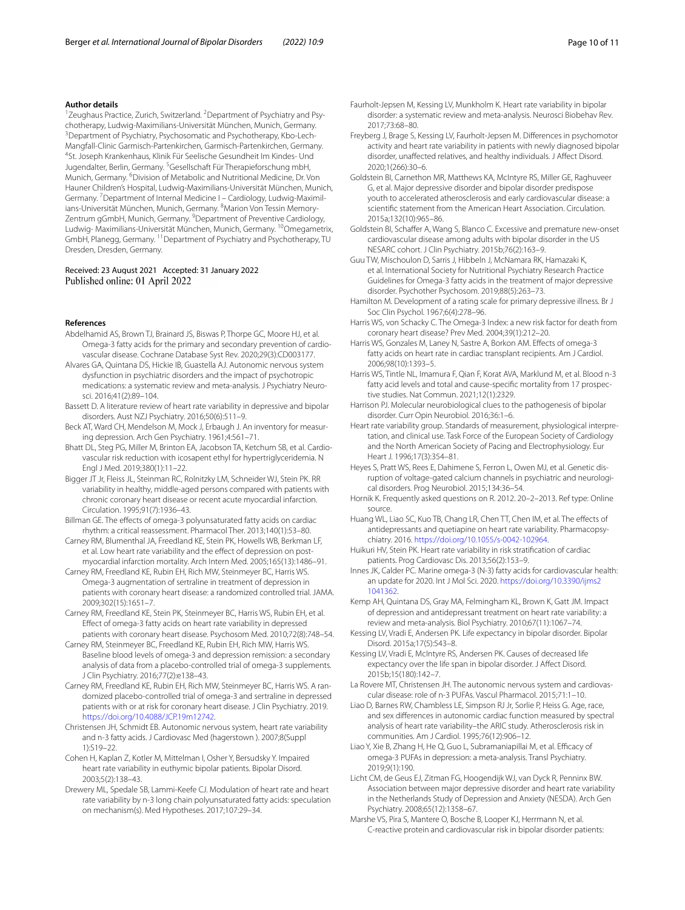#### **Author details**

<sup>1</sup> Zeughaus Practice, Zurich, Switzerland. <sup>2</sup> Department of Psychiatry and Psychotherapy, Ludwig-Maximilians-Universität München, Munich, Germany. <sup>3</sup>Department of Psychiatry, Psychosomatic and Psychotherapy, Kbo-Lech-Mangfall-Clinic Garmisch-Partenkirchen, Garmisch-Partenkirchen, Germany. 4 <sup>4</sup>St. Joseph Krankenhaus, Klinik Für Seelische Gesundheit Im Kindes- Und Jugendalter, Berlin, Germany. <sup>5</sup>Gesellschaft Für Therapieforschung mbH, Munich, Germany. <sup>6</sup> Division of Metabolic and Nutritional Medicine, Dr. Von Hauner Children's Hospital, Ludwig-Maximilians-Universität München, Munich, Germany. <sup>7</sup> Department of Internal Medicine I – Cardiology, Ludwig-Maximilians-Universität München, Munich, Germany. <sup>8</sup>Marion Von Tessin Memory-Zentrum gGmbH, Munich, Germany. <sup>9</sup>Department of Preventive Cardiology, Ludwig- Maximilians-Universität München, Munich, Germany. 10Omegametrix, GmbH, Planegg, Germany. 11Department of Psychiatry and Psychotherapy, TU Dresden, Dresden, Germany.

#### Received: 23 August 2021 Accepted: 31 January 2022 Published online: 01 April 2022

#### **References**

- <span id="page-9-14"></span>Abdelhamid AS, Brown TJ, Brainard JS, Biswas P, Thorpe GC, Moore HJ, et al. Omega-3 fatty acids for the primary and secondary prevention of cardiovascular disease. Cochrane Database Syst Rev. 2020;29(3):CD003177.
- <span id="page-9-28"></span>Alvares GA, Quintana DS, Hickie IB, Guastella AJ. Autonomic nervous system dysfunction in psychiatric disorders and the impact of psychotropic medications: a systematic review and meta-analysis. J Psychiatry Neurosci. 2016;41(2):89–104.
- <span id="page-9-27"></span>Bassett D. A literature review of heart rate variability in depressive and bipolar disorders. Aust NZJ Psychiatry. 2016;50(6):511–9.
- <span id="page-9-17"></span>Beck AT, Ward CH, Mendelson M, Mock J, Erbaugh J. An inventory for measuring depression. Arch Gen Psychiatry. 1961;4:561–71.
- <span id="page-9-26"></span>Bhatt DL, Steg PG, Miller M, Brinton EA, Jacobson TA, Ketchum SB, et al. Cardiovascular risk reduction with icosapent ethyl for hypertriglyceridemia. N Engl J Med. 2019;380(1):11–22.
- <span id="page-9-20"></span>Bigger JT Jr, Fleiss JL, Steinman RC, Rolnitzky LM, Schneider WJ, Stein PK. RR variability in healthy, middle-aged persons compared with patients with chronic coronary heart disease or recent acute myocardial infarction. Circulation. 1995;91(7):1936–43.
- <span id="page-9-36"></span>Billman GE. The effects of omega-3 polyunsaturated fatty acids on cardiac rhythm: a critical reassessment. Pharmacol Ther. 2013;140(1):53–80.
- <span id="page-9-6"></span>Carney RM, Blumenthal JA, Freedland KE, Stein PK, Howells WB, Berkman LF, et al. Low heart rate variability and the effect of depression on postmyocardial infarction mortality. Arch Intern Med. 2005;165(13):1486–91.
- <span id="page-9-33"></span>Carney RM, Freedland KE, Rubin EH, Rich MW, Steinmeyer BC, Harris WS. Omega-3 augmentation of sertraline in treatment of depression in patients with coronary heart disease: a randomized controlled trial. JAMA. 2009;302(15):1651–7.
- <span id="page-9-32"></span>Carney RM, Freedland KE, Stein PK, Steinmeyer BC, Harris WS, Rubin EH, et al. Efect of omega-3 fatty acids on heart rate variability in depressed patients with coronary heart disease. Psychosom Med. 2010;72(8):748–54.
- <span id="page-9-34"></span>Carney RM, Steinmeyer BC, Freedland KE, Rubin EH, Rich MW, Harris WS. Baseline blood levels of omega-3 and depression remission: a secondary analysis of data from a placebo-controlled trial of omega-3 supplements. J Clin Psychiatry. 2016;77(2):e138–43.
- <span id="page-9-35"></span>Carney RM, Freedland KE, Rubin EH, Rich MW, Steinmeyer BC, Harris WS. A randomized placebo-controlled trial of omega-3 and sertraline in depressed patients with or at risk for coronary heart disease. J Clin Psychiatry. 2019. <https://doi.org/10.4088/JCP.19m12742>.
- <span id="page-9-22"></span>Christensen JH, Schmidt EB. Autonomic nervous system, heart rate variability and n-3 fatty acids. J Cardiovasc Med (hagerstown ). 2007;8(Suppl 1):S19–22.
- <span id="page-9-8"></span>Cohen H, Kaplan Z, Kotler M, Mittelman I, Osher Y, Bersudsky Y. Impaired heart rate variability in euthymic bipolar patients. Bipolar Disord. 2003;5(2):138–43.
- <span id="page-9-9"></span>Drewery ML, Spedale SB, Lammi-Keefe CJ. Modulation of heart rate and heart rate variability by n-3 long chain polyunsaturated fatty acids: speculation on mechanism(s). Med Hypotheses. 2017;107:29–34.
- <span id="page-9-10"></span>Faurholt-Jepsen M, Kessing LV, Munkholm K. Heart rate variability in bipolar disorder: a systematic review and meta-analysis. Neurosci Biobehav Rev. 2017;73:68–80.
- <span id="page-9-7"></span>Freyberg J, Brage S, Kessing LV, Faurholt-Jepsen M. Diferences in psychomotor activity and heart rate variability in patients with newly diagnosed bipolar disorder, unafected relatives, and healthy individuals. J Afect Disord. 2020;1(266):30–6.
- <span id="page-9-2"></span>Goldstein BI, Carnethon MR, Matthews KA, McIntyre RS, Miller GE, Raghuveer G, et al. Major depressive disorder and bipolar disorder predispose youth to accelerated atherosclerosis and early cardiovascular disease: a scientifc statement from the American Heart Association. Circulation. 2015a;132(10):965–86.
- <span id="page-9-3"></span>Goldstein BI, Schaffer A, Wang S, Blanco C. Excessive and premature new-onset cardiovascular disease among adults with bipolar disorder in the US NESARC cohort. J Clin Psychiatry. 2015b;76(2):163–9.
- <span id="page-9-12"></span>Guu TW, Mischoulon D, Sarris J, Hibbeln J, McNamara RK, Hamazaki K, et al. International Society for Nutritional Psychiatry Research Practice Guidelines for Omega-3 fatty acids in the treatment of major depressive disorder. Psychother Psychosom. 2019;88(5):263–73.
- <span id="page-9-16"></span>Hamilton M. Development of a rating scale for primary depressive illness. Br J Soc Clin Psychol. 1967;6(4):278–96.
- <span id="page-9-15"></span>Harris WS, von Schacky C. The Omega-3 Index: a new risk factor for death from coronary heart disease? Prev Med. 2004;39(1):212–20.
- <span id="page-9-23"></span>Harris WS, Gonzales M, Laney N, Sastre A, Borkon AM. Efects of omega-3 fatty acids on heart rate in cardiac transplant recipients. Am J Cardiol. 2006;98(10):1393–5.
- <span id="page-9-25"></span>Harris WS, Tintle NL, Imamura F, Qian F, Korat AVA, Marklund M, et al. Blood n-3 fatty acid levels and total and cause-specifc mortality from 17 prospective studies. Nat Commun. 2021;12(1):2329.
- Harrison PJ. Molecular neurobiological clues to the pathogenesis of bipolar disorder. Curr Opin Neurobiol. 2016;36:1–6.
- <span id="page-9-18"></span>Heart rate variability group. Standards of measurement, physiological interpretation, and clinical use. Task Force of the European Society of Cardiology and the North American Society of Pacing and Electrophysiology. Eur Heart J. 1996;17(3):354–81.
- Heyes S, Pratt WS, Rees E, Dahimene S, Ferron L, Owen MJ, et al. Genetic disruption of voltage-gated calcium channels in psychiatric and neurological disorders. Prog Neurobiol. 2015;134:36–54.
- <span id="page-9-19"></span>Hornik K. Frequently asked questions on R. 2012. 20–2–2013. Ref type: Online source.
- <span id="page-9-31"></span>Huang WL, Liao SC, Kuo TB, Chang LR, Chen TT, Chen IM, et al. The efects of antidepressants and quetiapine on heart rate variability. Pharmacopsychiatry. 2016.<https://doi.org/10.1055/s-0042-102964>.
- <span id="page-9-5"></span>Huikuri HV, Stein PK. Heart rate variability in risk stratifcation of cardiac patients. Prog Cardiovasc Dis. 2013;56(2):153–9.
- <span id="page-9-24"></span>Innes JK, Calder PC. Marine omega-3 (N-3) fatty acids for cardiovascular health: an update for 2020. Int J Mol Sci. 2020. [https://doi.org/10.3390/ijms2](https://doi.org/10.3390/ijms21041362) [1041362](https://doi.org/10.3390/ijms21041362).

<span id="page-9-29"></span>Kemp AH, Quintana DS, Gray MA, Felmingham KL, Brown K, Gatt JM. Impact of depression and antidepressant treatment on heart rate variability: a review and meta-analysis. Biol Psychiatry. 2010;67(11):1067–74.

- <span id="page-9-0"></span>Kessing LV, Vradi E, Andersen PK. Life expectancy in bipolar disorder. Bipolar Disord. 2015a;17(5):543–8.
- <span id="page-9-1"></span>Kessing LV, Vradi E, McIntyre RS, Andersen PK. Causes of decreased life expectancy over the life span in bipolar disorder. J Afect Disord. 2015b;15(180):142–7.
- <span id="page-9-13"></span>La Rovere MT, Christensen JH. The autonomic nervous system and cardiovascular disease: role of n-3 PUFAs. Vascul Pharmacol. 2015;71:1–10.
- <span id="page-9-21"></span>Liao D, Barnes RW, Chambless LE, Simpson RJ Jr, Sorlie P, Heiss G. Age, race, and sex diferences in autonomic cardiac function measured by spectral analysis of heart rate variability–the ARIC study. Atherosclerosis risk in communities. Am J Cardiol. 1995;76(12):906–12.
- <span id="page-9-11"></span>Liao Y, Xie B, Zhang H, He Q, Guo L, Subramaniapillai M, et al. Efficacy of omega-3 PUFAs in depression: a meta-analysis. Transl Psychiatry. 2019;9(1):190.
- <span id="page-9-30"></span>Licht CM, de Geus EJ, Zitman FG, Hoogendijk WJ, van Dyck R, Penninx BW. Association between major depressive disorder and heart rate variability in the Netherlands Study of Depression and Anxiety (NESDA). Arch Gen Psychiatry. 2008;65(12):1358–67.
- <span id="page-9-4"></span>Marshe VS, Pira S, Mantere O, Bosche B, Looper KJ, Herrmann N, et al. C-reactive protein and cardiovascular risk in bipolar disorder patients: